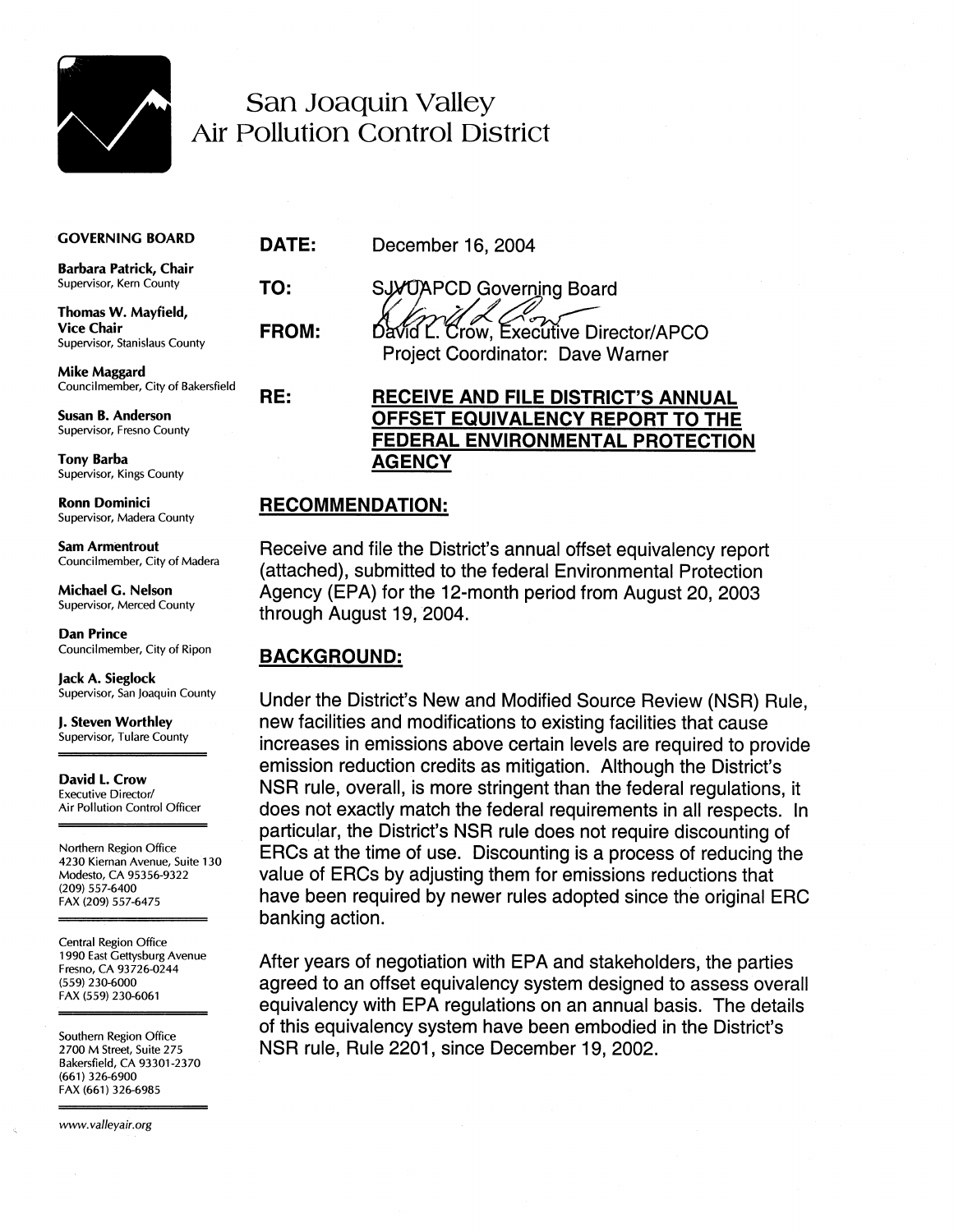

## San Joaquin Valley **Air Pollution Control District**

#### **GOVERNING BOARD**

Barbara Patrick, Chair Supervisor, Kern County

Thomas W. Mayfield, **Vice Chair** Supervisor, Stanislaus County

**Mike Maggard** Councilmember, City of Bakersfield

**Susan B. Anderson** Supervisor, Fresno County

**Tony Barba** Supervisor, Kings County

**Ronn Dominici** Supervisor, Madera County

**Sam Armentrout** Councilmember, City of Madera

Michael G. Nelson Supervisor, Merced County

**Dan Prince** Councilmember, City of Ripon

Jack A. Sieglock Supervisor, San Joaquin County

J. Steven Worthley Supervisor, Tulare County

David L. Crow **Executive Director/** Air Pollution Control Officer

Northern Region Office 4230 Kiernan Avenue, Suite 130 Modesto, CA 95356-9322 (209) 557-6400 FAX (209) 557-6475

Central Region Office 1990 East Gettysburg Avenue Fresno, CA 93726-0244 (559) 230-6000 FAX (559) 230-6061

Southern Region Office 2700 M Street, Suite 275 Bakersfield, CA 93301-2370 (661) 326-6900 FAX (661) 326-6985

www.valleyair.org

December 16, 2004

**SJX/JAPCD Governing Board FROM:** 

DATE:

TO:

RE:

 $\mathbb{Z}_2$ David L. Crow. Executive Director/APCO Project Coordinator: Dave Warner

### **RECEIVE AND FILE DISTRICT'S ANNUAL** OFFSET EQUIVALENCY REPORT TO THE FEDERAL ENVIRONMENTAL PROTECTION **AGENCY**

### **RECOMMENDATION:**

Receive and file the District's annual offset equivalency report (attached), submitted to the federal Environmental Protection Agency (EPA) for the 12-month period from August 20, 2003 through August 19, 2004.

## **BACKGROUND:**

Under the District's New and Modified Source Review (NSR) Rule. new facilities and modifications to existing facilities that cause increases in emissions above certain levels are required to provide emission reduction credits as mitigation. Although the District's NSR rule, overall, is more stringent than the federal regulations, it does not exactly match the federal requirements in all respects. In particular, the District's NSR rule does not require discounting of ERCs at the time of use. Discounting is a process of reducing the value of ERCs by adjusting them for emissions reductions that have been required by newer rules adopted since the original ERC banking action.

After years of negotiation with EPA and stakeholders, the parties agreed to an offset equivalency system designed to assess overall equivalency with EPA regulations on an annual basis. The details of this equivalency system have been embodied in the District's NSR rule, Rule 2201, since December 19, 2002.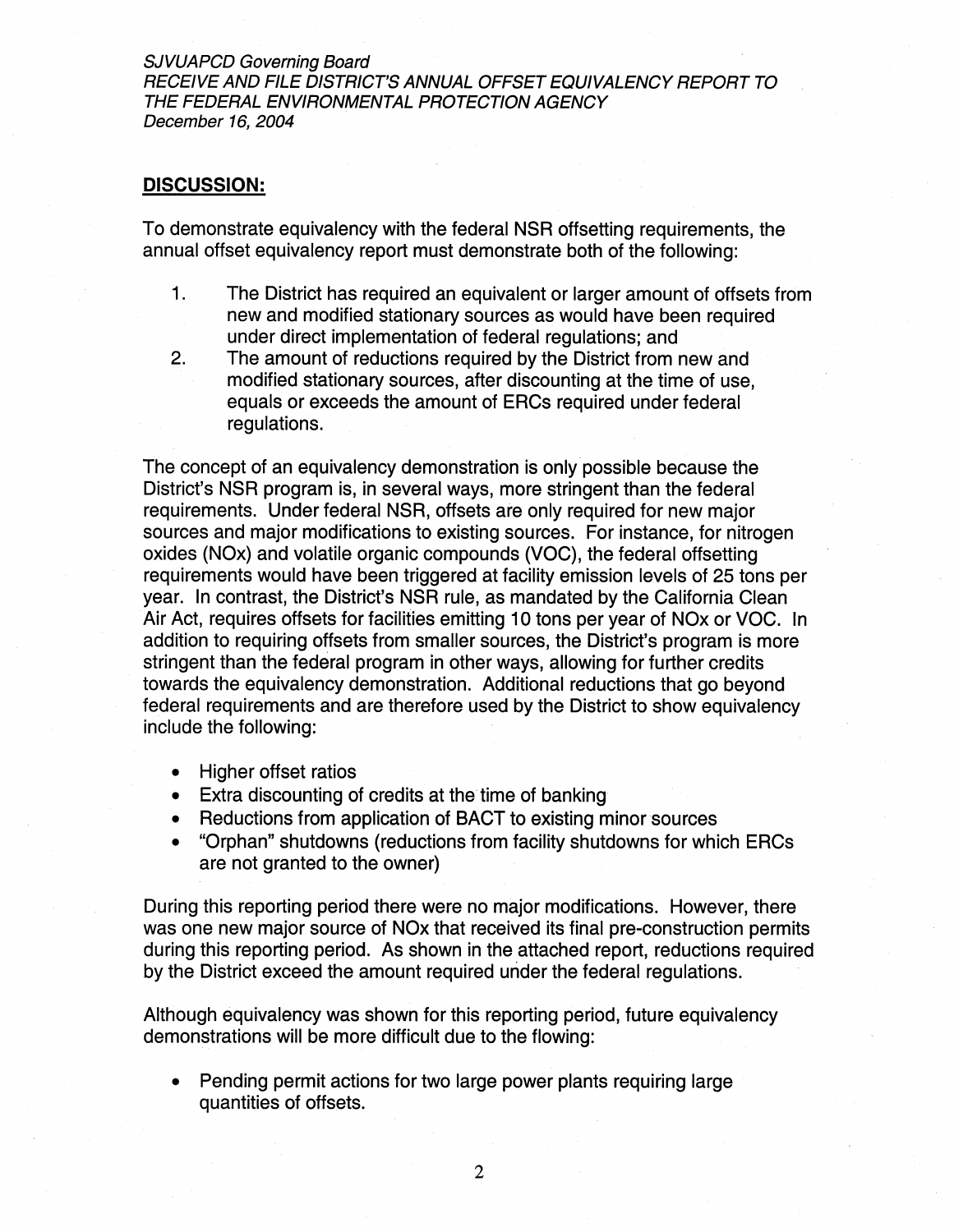**SJVUAPCD Governing Board** RECEIVE AND FILE DISTRICT'S ANNUAL OFFSET EQUIVALENCY REPORT TO THE FEDERAL ENVIRONMENTAL PROTECTION AGENCY December 16, 2004

#### **DISCUSSION:**

To demonstrate equivalency with the federal NSR offsetting requirements, the annual offset equivalency report must demonstrate both of the following:

- $1.$ The District has required an equivalent or larger amount of offsets from new and modified stationary sources as would have been required under direct implementation of federal regulations; and
- $2.$ The amount of reductions required by the District from new and modified stationary sources, after discounting at the time of use. equals or exceeds the amount of ERCs required under federal requlations.

The concept of an equivalency demonstration is only possible because the District's NSR program is, in several ways, more stringent than the federal requirements. Under federal NSR, offsets are only required for new major sources and major modifications to existing sources. For instance, for nitrogen oxides (NOx) and volatile organic compounds (VOC), the federal offsetting requirements would have been triggered at facility emission levels of 25 tons per year. In contrast, the District's NSR rule, as mandated by the California Clean Air Act, requires offsets for facilities emitting 10 tons per year of NOx or VOC. In addition to requiring offsets from smaller sources, the District's program is more stringent than the federal program in other ways, allowing for further credits towards the equivalency demonstration. Additional reductions that go beyond federal requirements and are therefore used by the District to show equivalency include the following:

- Higher offset ratios
- Extra discounting of credits at the time of banking
- Reductions from application of BACT to existing minor sources
- "Orphan" shutdowns (reductions from facility shutdowns for which ERCs  $\bullet$ are not granted to the owner)

During this reporting period there were no major modifications. However, there was one new major source of NOx that received its final pre-construction permits during this reporting period. As shown in the attached report, reductions required by the District exceed the amount required under the federal regulations.

Although equivalency was shown for this reporting period, future equivalency demonstrations will be more difficult due to the flowing:

Pending permit actions for two large power plants requiring large quantities of offsets.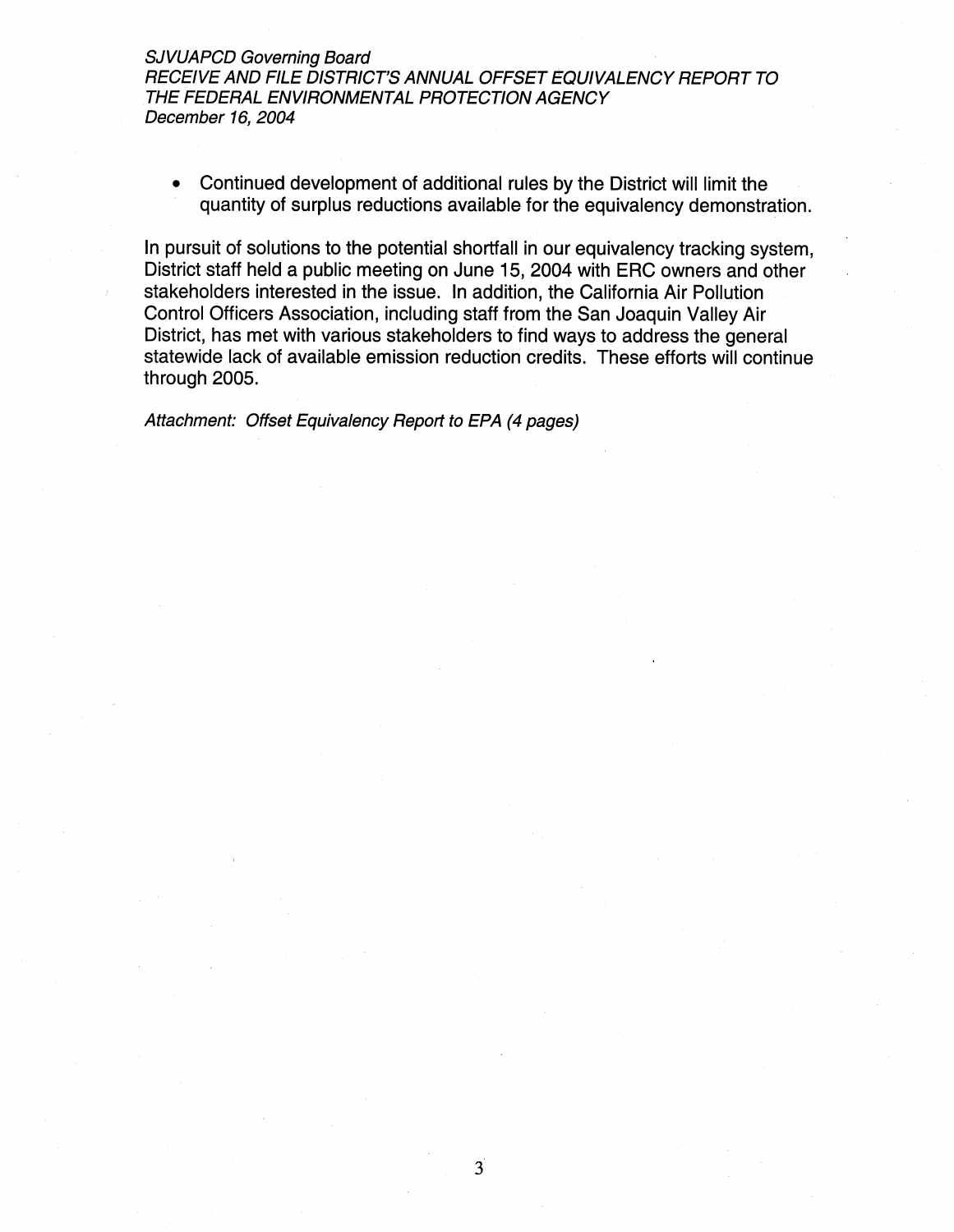**SJVUAPCD Governing Board** RECEIVE AND FILE DISTRICT'S ANNUAL OFFSET EQUIVALENCY REPORT TO THE FEDERAL ENVIRONMENTAL PROTECTION AGENCY December 16, 2004

Continued development of additional rules by the District will limit the  $\bullet$ quantity of surplus reductions available for the equivalency demonstration.

In pursuit of solutions to the potential shortfall in our equivalency tracking system. District staff held a public meeting on June 15, 2004 with ERC owners and other stakeholders interested in the issue. In addition, the California Air Pollution Control Officers Association, including staff from the San Joaquin Valley Air District, has met with various stakeholders to find ways to address the general statewide lack of available emission reduction credits. These efforts will continue through 2005.

Attachment: Offset Equivalency Report to EPA (4 pages)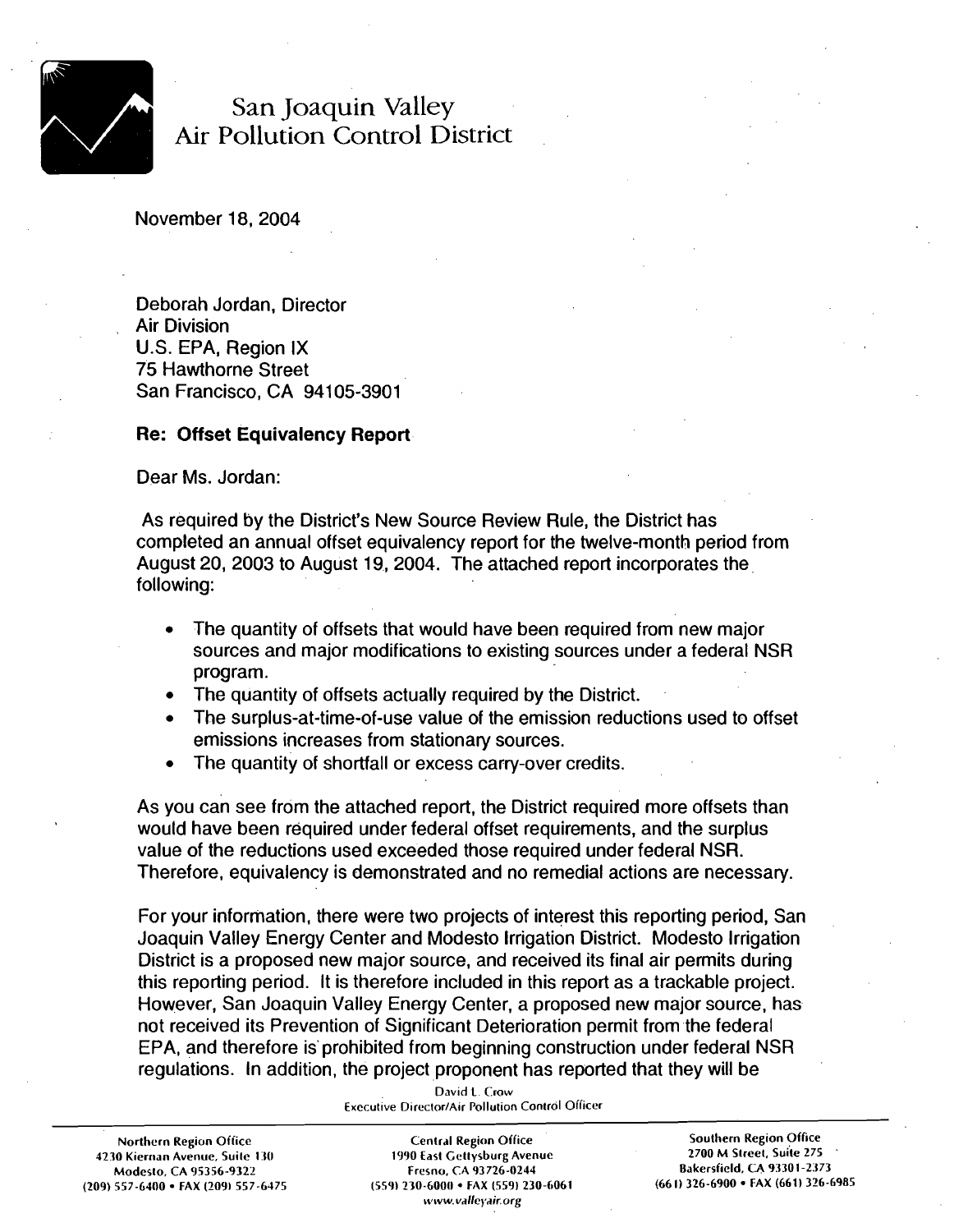

## San Joaquin Valley Air Pollution Control District

November 18,2004

Deborah Jordan, Director Air Division U.S. EPA, Region IX 75 Hawthorne Street San Francisco, CA 94105-3901

#### **Re: Offset Equivalency Report**

Dear Ms. Jordan:

As required by the District's New Source Review Rule, the District has completed an annual offset equivalency report for the twelve-month period from August 20, 2003 to August 19, 2004. The attached report incorporates the following:

- The quantity of offsets that would have been required from new major sources and major modifications to existing sources under a federal NSR program.
- The quantity of offsets actually required by the District.
- The surplus-at-time-of-use value of the emission reductions used to offset  $\bullet$ emissions increases from stationary sources.
- The quantity of shortfall or excess carry-over credits.  $\bullet$

As you can see from the attached report, the District required more offsets than would have been required under federal offset requirements, and the surplus value of the reductions used exceeded those required under federal NSR. Therefore, equivalency is demonstrated and no remedial actions are necessary.

For your information, there were two projects of interest this reporting period, San Joaquin Valley Energy Center and Modesto lrrigation District. Modesto lrrigation District is a proposed new major source, and received its final air permits during this reporting period. It is therefore included in this report as a trackable project. However, San Joaquin Valley Energy Center, a proposed new major source, has not received its Prevention of Significant Deterioration permit from the federal EPA, and therefore is'prohibited from beginning construction under federal NSR regulations. In addition, the project proponent has reported that they will be

| <b>Northern Region Office</b>       |  |  |  |  |  |  |  |
|-------------------------------------|--|--|--|--|--|--|--|
| 4230 Kiernan Avenue, Suite 130      |  |  |  |  |  |  |  |
| Modesto, CA 95356-9322              |  |  |  |  |  |  |  |
| (209) 557-6400 · FAX (209) 557-6475 |  |  |  |  |  |  |  |

**David L. Crow Executive Director/Air Pollution Control Officer** 

**Northern Region Office Cenlrdl Region Office Southern Region Office (209) 557-6400 FAX (2091 557-6475 (559) 230-6000 FAX (559) 230-6061 (661) 326-6900 FAX (661) 326-6985 \vww. valleyair. org** 

**1230 Kierrian Avenue, Suilc I :SO 1990 East Cettysburg Avenue 2700 M Slrcel, Suile 275** ' **Modeslo, CA 95356-9322 Fresno. CA 93726-0244 Bakersfield, CA 93301-2373**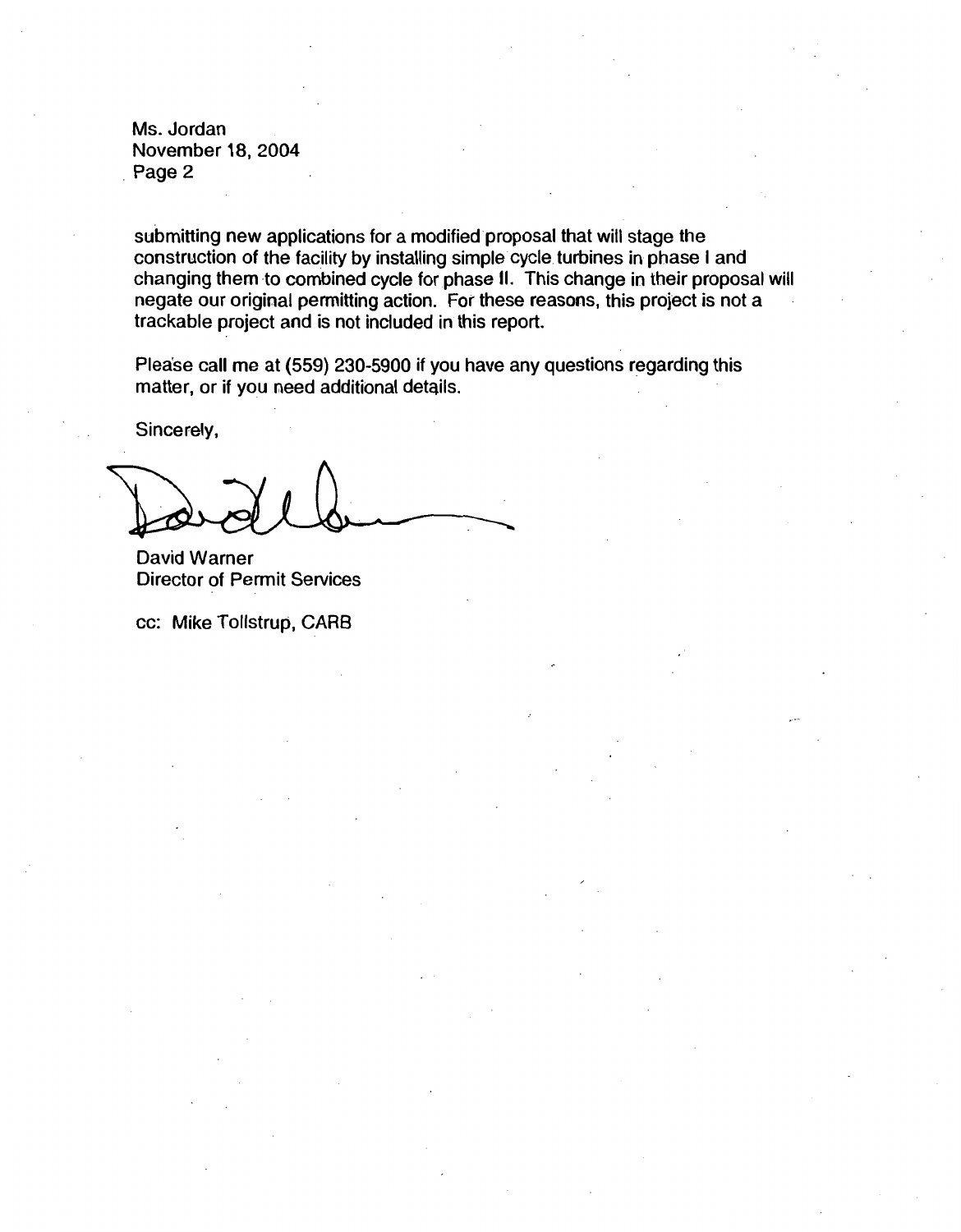Ms. Jordan November 18,2004 Page 2

submitting new applications for a modified proposal that will stage the construction of the facility by installing simple cycle turbines in phase I and changing them to combined cycle for phase II. This change in their proposal will negate our original permitting action. For these reasons, this project is not a trackable project and is not included in this report.

Please call me at (559) 230-5900 if you have any questions regarding this matter, or if you need additional details.

Sincerely,

David Warner Director of Permit Services

cc: Mike Tollstrup, **CAR6**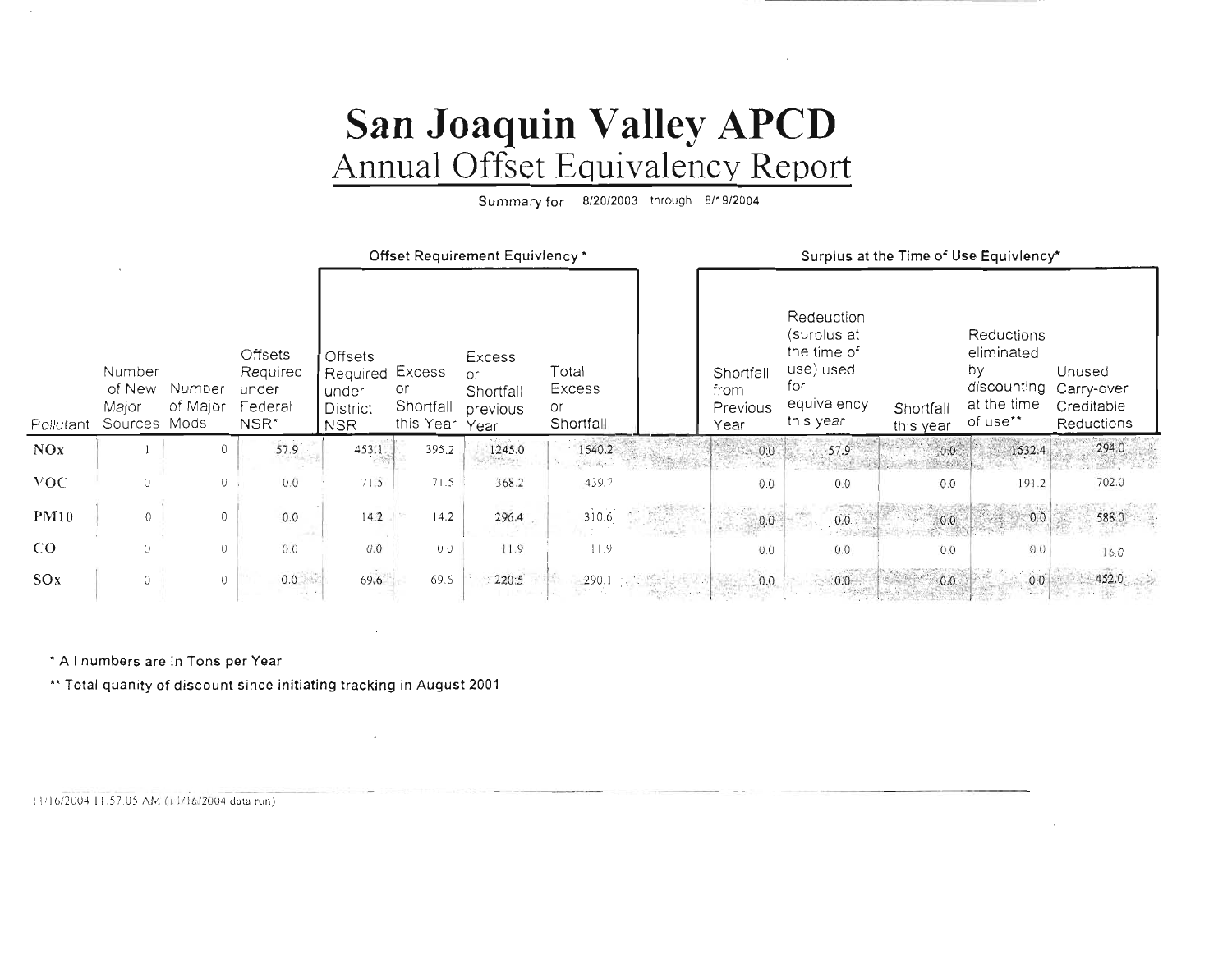## San Joaquin Valley APCD Annual Offset Equivalency Report

Summary for 8/20/2003 through 8/19/2004

|             |                                           |                    |                                                 | Offset Requirement Equiviency*                                              |                              |                                               |                                    |        | Surplus at the Time of Use Equivlency* |                                                                                          |                        |                                                                          |                                                  |
|-------------|-------------------------------------------|--------------------|-------------------------------------------------|-----------------------------------------------------------------------------|------------------------------|-----------------------------------------------|------------------------------------|--------|----------------------------------------|------------------------------------------------------------------------------------------|------------------------|--------------------------------------------------------------------------|--------------------------------------------------|
| Pollutant   | Number<br>of New<br>Major<br>Sources Mods | Number<br>of Major | Offsets<br>Required<br>under<br>Federal<br>NSR* | <b>Offsets</b><br><b>Required Excess</b><br>under<br>District<br><b>NSR</b> | or<br>Shortfall<br>this Year | Excess<br>or<br>Shortfall<br>previous<br>Year | Total<br>Excess<br>or<br>Shortfall |        | Shortfall<br>from<br>Previous<br>Year  | Redeuction<br>(surplus at<br>the time of<br>use) used<br>for<br>equivalency<br>this year | Shortfall<br>this year | Reductions<br>eliminated<br>by<br>discounting<br>at the time<br>of use** | Unused<br>Carry-over<br>Creditable<br>Reductions |
| NQx         |                                           | 0                  | 57.9                                            | 453.1                                                                       | 395.2                        | 1245.0<br><b>TWN</b> MOST                     | 1640.2<br>予測量                      |        | 0:0                                    | $-57.9$                                                                                  | 0.0                    | 1532.4                                                                   | 294.0                                            |
| VOC.        | $\cup$                                    | $\circ$            | 0.0                                             | 71.5                                                                        | 71.5                         | 368.2                                         | 439.7                              |        | 0.0                                    | 0.0                                                                                      | 0.0                    | 191.2                                                                    | 702.0                                            |
| <b>PM10</b> | 0                                         | $\circ$            | 0.0                                             | 14.2                                                                        | 14.2                         | 296.4                                         | 310.6                              | (Famil | 0.0                                    | 0.0.                                                                                     | 0.0                    | 0.0                                                                      | 588.0                                            |
| CO.         | $\left($ $\right)$                        | $\cup$             | 0.0                                             | 0.0                                                                         | $U$ $U$                      | 11.9                                          | 11.9                               |        | 0.0                                    | 0.0                                                                                      | 0.0                    | 0.0                                                                      | 16.0                                             |
| SOx         | $\theta$                                  | $\circ$            | 0.0<br>$-1$                                     | 69.6                                                                        | 69.6                         | 220:5                                         | 290.1                              |        | 0.0                                    | 0.0                                                                                      | 0.0.                   | $-0.0$                                                                   | 452.0                                            |

\* All numbers are in Tons per Year

\*\* Total quanity of discount since initiating tracking in August 2001

 $\cdot$